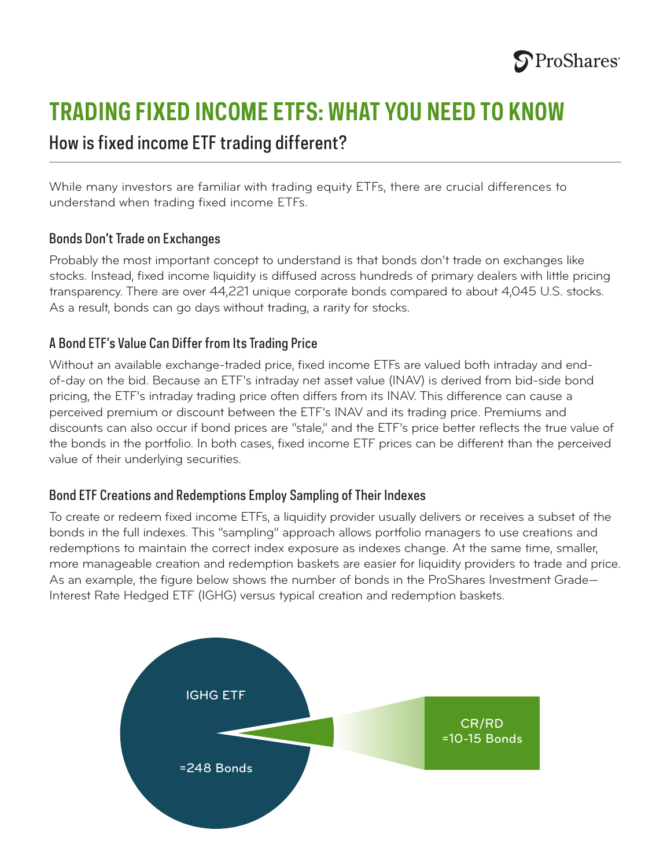

# **TRADING FIXED INCOME ETFS: WHAT YOU NEED TO KNOW**

## How is fixed income ETF trading different?

While many investors are familiar with trading equity ETFs, there are crucial differences to understand when trading fixed income ETFs.

#### Bonds Don't Trade on Exchanges

Probably the most important concept to understand is that bonds don't trade on exchanges like stocks. Instead, fixed income liquidity is diffused across hundreds of primary dealers with little pricing transparency. There are over 44,221 unique corporate bonds compared to about 4,045 U.S. stocks. As a result, bonds can go days without trading, a rarity for stocks.

### A Bond ETF's Value Can Differ from Its Trading Price

Without an available exchange-traded price, fixed income ETFs are valued both intraday and endof-day on the bid. Because an ETF's intraday net asset value (INAV) is derived from bid-side bond pricing, the ETF's intraday trading price often differs from its INAV. This difference can cause a perceived premium or discount between the ETF's INAV and its trading price. Premiums and discounts can also occur if bond prices are "stale," and the ETF's price better reflects the true value of the bonds in the portfolio. In both cases, fixed income ETF prices can be different than the perceived value of their underlying securities.

#### Bond ETF Creations and Redemptions Employ Sampling of Their Indexes

To create or redeem fixed income ETFs, a liquidity provider usually delivers or receives a subset of the =358 Bonds bonds in the full indexes. This "sampling" approach allows portfolio managers to use creations and redemptions to maintain the correct index exposure as indexes change. At the same time, smaller, more manageable creation and redemption baskets are easier for liquidity providers to trade and price. As an example, the figure below shows the number of bonds in the ProShares Investment Grade— Interest Rate Hedged ETF (IGHG) versus typical creation and redemption baskets.